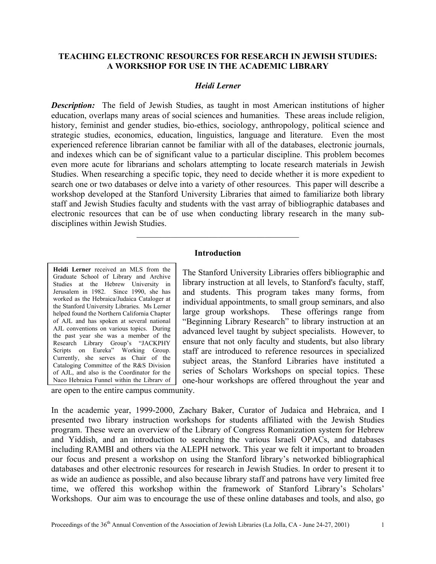### **TEACHING ELECTRONIC RESOURCES FOR RESEARCH IN JEWISH STUDIES: A WORKSHOP FOR USE IN THE ACADEMIC LIBRARY**

#### *Heidi Lerner*

**Description:** The field of Jewish Studies, as taught in most American institutions of higher education, overlaps many areas of social sciences and humanities. These areas include religion, history, feminist and gender studies, bio-ethics, sociology, anthropology, political science and strategic studies, economics, education, linguistics, language and literature. Even the most experienced reference librarian cannot be familiar with all of the databases, electronic journals, and indexes which can be of significant value to a particular discipline. This problem becomes even more acute for librarians and scholars attempting to locate research materials in Jewish Studies. When researching a specific topic, they need to decide whether it is more expedient to search one or two databases or delve into a variety of other resources. This paper will describe a workshop developed at the Stanford University Libraries that aimed to familiarize both library staff and Jewish Studies faculty and students with the vast array of bibliographic databases and electronic resources that can be of use when conducting library research in the many subdisciplines within Jewish Studies.

#### **Introduction**

 $\mathcal{L}_\text{max}$  and  $\mathcal{L}_\text{max}$  and  $\mathcal{L}_\text{max}$  and  $\mathcal{L}_\text{max}$ 

**Heidi Lerner** received an MLS from the Graduate School of Library and Archive Studies at the Hebrew University in Jerusalem in 1982. Since 1990, she has worked as the Hebraica/Judaica Cataloger at the Stanford University Libraries. Ms Lerner helped found the Northern California Chapter of AJL and has spoken at several national AJL conventions on various topics. During the past year she was a member of the Research Library Group's "JACKPHY Scripts on Eureka" Working Group. Currently, she serves as Chair of the Cataloging Committee of the R&S Division of AJL, and also is the Coordinator for the Naco Hebraica Funnel within the Library of

The Stanford University Libraries offers bibliographic and library instruction at all levels, to Stanford's faculty, staff, and students. This program takes many forms, from individual appointments, to small group seminars, and also large group workshops. These offerings range from "Beginning Library Research" to library instruction at an advanced level taught by subject specialists. However, to ensure that not only faculty and students, but also library staff are introduced to reference resources in specialized subject areas, the Stanford Libraries have instituted a series of Scholars Workshops on special topics. These one-hour workshops are offered throughout the year and

are open to the entire campus community.

In the academic year, 1999-2000, Zachary Baker, Curator of Judaica and Hebraica, and I presented two library instruction workshops for students affiliated with the Jewish Studies program. These were an overview of the Library of Congress Romanization system for Hebrew and Yiddish, and an introduction to searching the various Israeli OPACs, and databases including RAMBI and others via the ALEPH network. This year we felt it important to broaden our focus and present a workshop on using the Stanford library's networked bibliographical databases and other electronic resources for research in Jewish Studies. In order to present it to as wide an audience as possible, and also because library staff and patrons have very limited free time, we offered this workshop within the framework of Stanford Library's Scholars' Workshops. Our aim was to encourage the use of these online databases and tools, and also, go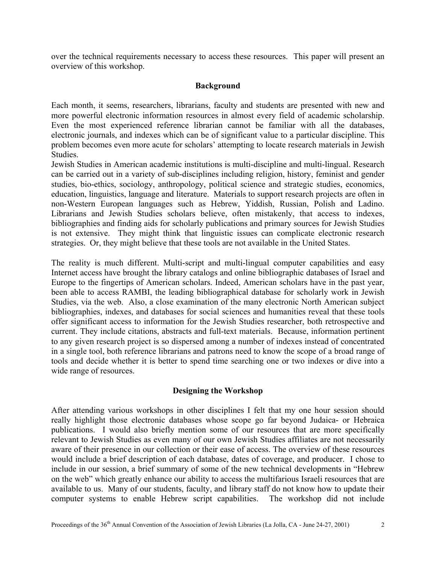over the technical requirements necessary to access these resources. This paper will present an overview of this workshop.

#### **Background**

Each month, it seems, researchers, librarians, faculty and students are presented with new and more powerful electronic information resources in almost every field of academic scholarship. Even the most experienced reference librarian cannot be familiar with all the databases, electronic journals, and indexes which can be of significant value to a particular discipline. This problem becomes even more acute for scholars' attempting to locate research materials in Jewish Studies.

Jewish Studies in American academic institutions is multi-discipline and multi-lingual. Research can be carried out in a variety of sub-disciplines including religion, history, feminist and gender studies, bio-ethics, sociology, anthropology, political science and strategic studies, economics, education, linguistics, language and literature. Materials to support research projects are often in non-Western European languages such as Hebrew, Yiddish, Russian, Polish and Ladino. Librarians and Jewish Studies scholars believe, often mistakenly, that access to indexes, bibliographies and finding aids for scholarly publications and primary sources for Jewish Studies is not extensive. They might think that linguistic issues can complicate electronic research strategies. Or, they might believe that these tools are not available in the United States.

The reality is much different. Multi-script and multi-lingual computer capabilities and easy Internet access have brought the library catalogs and online bibliographic databases of Israel and Europe to the fingertips of American scholars. Indeed, American scholars have in the past year, been able to access RAMBI, the leading bibliographical database for scholarly work in Jewish Studies, via the web. Also, a close examination of the many electronic North American subject bibliographies, indexes, and databases for social sciences and humanities reveal that these tools offer significant access to information for the Jewish Studies researcher, both retrospective and current. They include citations, abstracts and full-text materials. Because, information pertinent to any given research project is so dispersed among a number of indexes instead of concentrated in a single tool, both reference librarians and patrons need to know the scope of a broad range of tools and decide whether it is better to spend time searching one or two indexes or dive into a wide range of resources.

## **Designing the Workshop**

After attending various workshops in other disciplines I felt that my one hour session should really highlight those electronic databases whose scope go far beyond Judaica- or Hebraica publications. I would also briefly mention some of our resources that are more specifically relevant to Jewish Studies as even many of our own Jewish Studies affiliates are not necessarily aware of their presence in our collection or their ease of access. The overview of these resources would include a brief description of each database, dates of coverage, and producer. I chose to include in our session, a brief summary of some of the new technical developments in "Hebrew on the web" which greatly enhance our ability to access the multifarious Israeli resources that are available to us. Many of our students, faculty, and library staff do not know how to update their computer systems to enable Hebrew script capabilities. The workshop did not include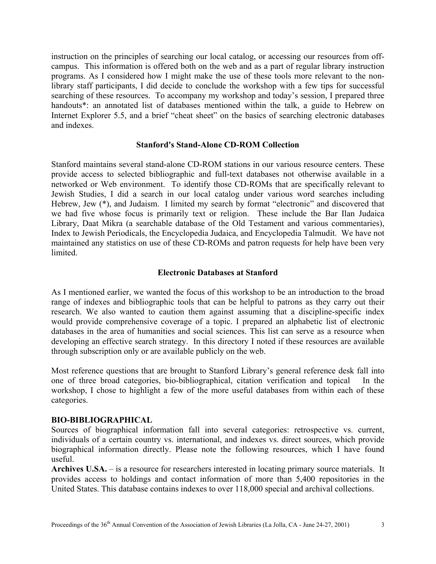instruction on the principles of searching our local catalog, or accessing our resources from offcampus. This information is offered both on the web and as a part of regular library instruction programs. As I considered how I might make the use of these tools more relevant to the nonlibrary staff participants, I did decide to conclude the workshop with a few tips for successful searching of these resources. To accompany my workshop and today's session, I prepared three handouts<sup>\*</sup>: an annotated list of databases mentioned within the talk, a guide to Hebrew on Internet Explorer 5.5, and a brief "cheat sheet" on the basics of searching electronic databases and indexes.

#### **Stanford's Stand-Alone CD-ROM Collection**

Stanford maintains several stand-alone CD-ROM stations in our various resource centers. These provide access to selected bibliographic and full-text databases not otherwise available in a networked or Web environment. To identify those CD-ROMs that are specifically relevant to Jewish Studies, I did a search in our local catalog under various word searches including Hebrew, Jew (\*), and Judaism. I limited my search by format "electronic" and discovered that we had five whose focus is primarily text or religion. These include the Bar Ilan Judaica Library, Daat Mikra (a searchable database of the Old Testament and various commentaries), Index to Jewish Periodicals, the Encyclopedia Judaica, and Encyclopedia Talmudit. We have not maintained any statistics on use of these CD-ROMs and patron requests for help have been very limited.

## **Electronic Databases at Stanford**

As I mentioned earlier, we wanted the focus of this workshop to be an introduction to the broad range of indexes and bibliographic tools that can be helpful to patrons as they carry out their research. We also wanted to caution them against assuming that a discipline-specific index would provide comprehensive coverage of a topic. I prepared an alphabetic list of electronic databases in the area of humanities and social sciences. This list can serve as a resource when developing an effective search strategy. In this directory I noted if these resources are available through subscription only or are available publicly on the web.

Most reference questions that are brought to Stanford Library's general reference desk fall into one of three broad categories, bio-bibliographical, citation verification and topical In the workshop, I chose to highlight a few of the more useful databases from within each of these categories.

# **BIO-BIBLIOGRAPHICAL**

Sources of biographical information fall into several categories: retrospective vs. current, individuals of a certain country vs. international, and indexes vs. direct sources, which provide biographical information directly. Please note the following resources, which I have found useful.

**Archives U.SA.** – is a resource for researchers interested in locating primary source materials. It provides access to holdings and contact information of more than 5,400 repositories in the United States. This database contains indexes to over 118,000 special and archival collections.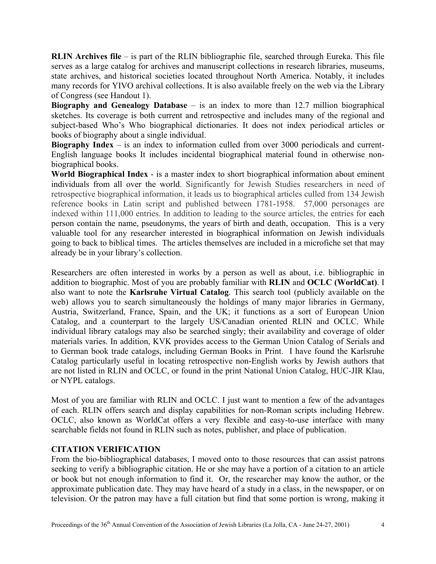**RLIN Archives file** – is part of the RLIN bibliographic file, searched through Eureka. This file serves as a large catalog for archives and manuscript collections in research libraries, museums, state archives, and historical societies located throughout North America. Notably, it includes many records for YIVO archival collections. It is also available freely on the web via the Library of Congress (see Handout 1).

**Biography and Genealogy Database** – is an index to more than 12.7 million biographical sketches. Its coverage is both current and retrospective and includes many of the regional and subject-based Who's Who biographical dictionaries. It does not index periodical articles or books of biography about a single individual.

**Biography Index** – is an index to information culled from over 3000 periodicals and current-English language books It includes incidental biographical material found in otherwise nonbiographical books.

**World Biographical Index** - is a master index to short biographical information about eminent individuals from all over the world. Significantly for Jewish Studies researchers in need of retrospective biographical information, it leads us to biographical articles culled from 134 Jewish reference books in Latin script and published between 1781-1958. 57,000 personages are indexed within 111,000 entries. In addition to leading to the source articles, the entries for each person contain the name, pseudonyms, the years of birth and death, occupation. This is a very valuable tool for any researcher interested in biographical information on Jewish individuals going to back to biblical times. The articles themselves are included in a microfiche set that may already be in your library's collection.

Researchers are often interested in works by a person as well as about, i.e. bibliographic in addition to biographic. Most of you are probably familiar with **RLIN** and **OCLC (WorldCat)**. I also want to note the **Karlsruhe Virtual Catalog**. This search tool (publicly available on the web) allows you to search simultaneously the holdings of many major libraries in Germany, Austria, Switzerland, France, Spain, and the UK; it functions as a sort of European Union Catalog, and a counterpart to the largely US/Canadian oriented RLIN and OCLC. While individual library catalogs may also be searched singly; their availability and coverage of older materials varies. In addition, KVK provides access to the German Union Catalog of Serials and to German book trade catalogs, including German Books in Print. I have found the Karlsruhe Catalog particularly useful in locating retrospective non-English works by Jewish authors that are not listed in RLIN and OCLC, or found in the print National Union Catalog, HUC-JIR Klau, or NYPL catalogs.

Most of you are familiar with RLIN and OCLC. I just want to mention a few of the advantages of each. RLIN offers search and display capabilities for non-Roman scripts including Hebrew. OCLC, also known as WorldCat offers a very flexible and easy-to-use interface with many searchable fields not found in RLIN such as notes, publisher, and place of publication.

# **CITATION VERIFICATION**

From the bio-bibliographical databases, I moved onto to those resources that can assist patrons seeking to verify a bibliographic citation. He or she may have a portion of a citation to an article or book but not enough information to find it. Or, the researcher may know the author, or the approximate publication date. They may have heard of a study in a class, in the newspaper, or on television. Or the patron may have a full citation but find that some portion is wrong, making it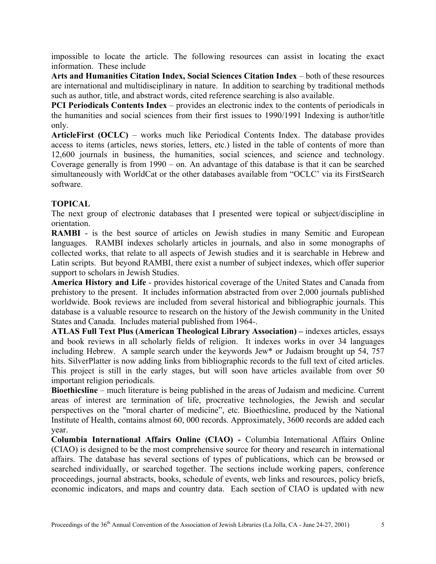impossible to locate the article. The following resources can assist in locating the exact information. These include

**Arts and Humanities Citation Index, Social Sciences Citation Index** – both of these resources are international and multidisciplinary in nature. In addition to searching by traditional methods such as author, title, and abstract words, cited reference searching is also available.

**PCI Periodicals Contents Index** – provides an electronic index to the contents of periodicals in the humanities and social sciences from their first issues to 1990/1991 Indexing is author/title only.

**ArticleFirst (OCLC)** – works much like Periodical Contents Index. The database provides access to items (articles, news stories, letters, etc.) listed in the table of contents of more than 12,600 journals in business, the humanities, social sciences, and science and technology. Coverage generally is from 1990 – on. An advantage of this database is that it can be searched simultaneously with WorldCat or the other databases available from "OCLC' via its FirstSearch software.

# **TOPICAL**

The next group of electronic databases that I presented were topical or subject/discipline in orientation.

**RAMBI** - is the best source of articles on Jewish studies in many Semitic and European languages. RAMBI indexes scholarly articles in journals, and also in some monographs of collected works, that relate to all aspects of Jewish studies and it is searchable in Hebrew and Latin scripts. But beyond RAMBI, there exist a number of subject indexes, which offer superior support to scholars in Jewish Studies.

**America History and Life** - provides historical coverage of the United States and Canada from prehistory to the present. It includes information abstracted from over 2,000 journals published worldwide. Book reviews are included from several historical and bibliographic journals. This database is a valuable resource to research on the history of the Jewish community in the United States and Canada. Includes material published from 1964-.

**ATLAS Full Text Plus (American Theological Library Association) –** indexes articles, essays and book reviews in all scholarly fields of religion. It indexes works in over 34 languages including Hebrew.A sample search under the keywords Jew\* or Judaism brought up 54, 757 hits. SilverPlatter is now adding links from bibliographic records to the full text of cited articles. This project is still in the early stages, but will soon have articles available from over 50 important religion periodicals.

**Bioethicsline** – much literature is being published in the areas of Judaism and medicine. Current areas of interest are termination of life, procreative technologies, the Jewish and secular perspectives on the "moral charter of medicine", etc. Bioethicsline, produced by the National Institute of Health, contains almost 60, 000 records. Approximately, 3600 records are added each year.

**Columbia International Affairs Online (CIAO) -** Columbia International Affairs Online (CIAO) is designed to be the most comprehensive source for theory and research in international affairs. The database has several sections of types of publications, which can be browsed or searched individually, or searched together. The sections include working papers, conference proceedings, journal abstracts, books, schedule of events, web links and resources, policy briefs, economic indicators, and maps and country data. Each section of CIAO is updated with new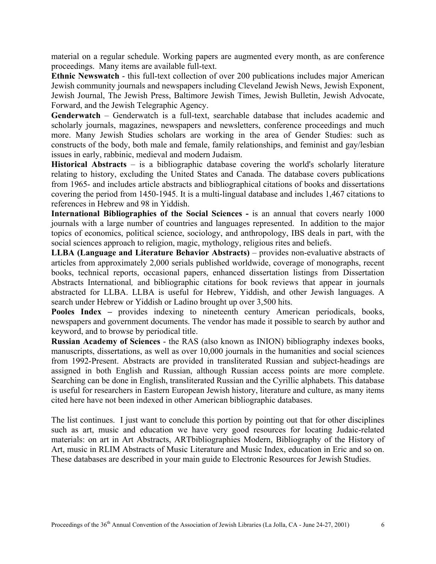material on a regular schedule. Working papers are augmented every month, as are conference proceedings. Many items are available full-text.

**Ethnic Newswatch** - this full-text collection of over 200 publications includes major American Jewish community journals and newspapers including Cleveland Jewish News, Jewish Exponent, Jewish Journal, The Jewish Press, Baltimore Jewish Times, Jewish Bulletin, Jewish Advocate, Forward, and the Jewish Telegraphic Agency.

**Genderwatch** – Genderwatch is a full-text, searchable database that includes academic and scholarly journals, magazines, newspapers and newsletters, conference proceedings and much more. Many Jewish Studies scholars are working in the area of Gender Studies: such as constructs of the body, both male and female, family relationships, and feminist and gay/lesbian issues in early, rabbinic, medieval and modern Judaism.

**Historical Abstracts** – is a bibliographic database covering the world's scholarly literature relating to history, excluding the United States and Canada. The database covers publications from 1965- and includes article abstracts and bibliographical citations of books and dissertations covering the period from 1450-1945. It is a multi-lingual database and includes 1,467 citations to references in Hebrew and 98 in Yiddish.

**International Bibliographies of the Social Sciences -** is an annual that covers nearly 1000 journals with a large number of countries and languages represented. In addition to the major topics of economics, political science, sociology, and anthropology, IBS deals in part, with the social sciences approach to religion, magic, mythology, religious rites and beliefs.

**LLBA (Language and Literature Behavior Abstracts)** – provides non-evaluative abstracts of articles from approximately 2,000 serials published worldwide, coverage of monographs, recent books, technical reports, occasional papers, enhanced dissertation listings from Dissertation Abstracts International*,* and bibliographic citations for book reviews that appear in journals abstracted for LLBA. LLBA is useful for Hebrew, Yiddish, and other Jewish languages. A search under Hebrew or Yiddish or Ladino brought up over 3,500 hits.

**Pooles Index –** provides indexing to nineteenth century American periodicals, books, newspapers and government documents. The vendor has made it possible to search by author and keyword, and to browse by periodical title.

**Russian Academy of Sciences** - the RAS (also known as INION) bibliography indexes books, manuscripts, dissertations, as well as over 10,000 journals in the humanities and social sciences from 1992-Present. Abstracts are provided in transliterated Russian and subject-headings are assigned in both English and Russian, although Russian access points are more complete. Searching can be done in English, transliterated Russian and the Cyrillic alphabets. This database is useful for researchers in Eastern European Jewish history, literature and culture, as many items cited here have not been indexed in other American bibliographic databases.

The list continues. I just want to conclude this portion by pointing out that for other disciplines such as art, music and education we have very good resources for locating Judaic-related materials: on art in Art Abstracts, ARTbibliographies Modern, Bibliography of the History of Art, music in RLIM Abstracts of Music Literature and Music Index, education in Eric and so on. These databases are described in your main guide to Electronic Resources for Jewish Studies.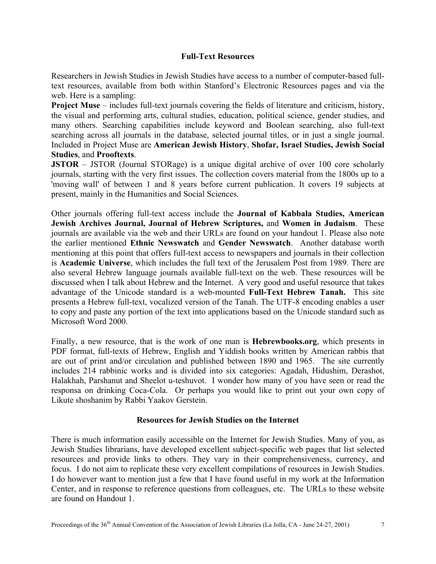# **Full-Text Resources**

Researchers in Jewish Studies in Jewish Studies have access to a number of computer-based fulltext resources, available from both within Stanford's Electronic Resources pages and via the web. Here is a sampling:

**Project Muse** – includes full-text journals covering the fields of literature and criticism, history, the visual and performing arts, cultural studies, education, political science, gender studies, and many others. Searching capabilities include keyword and Boolean searching, also full-text searching across all journals in the database, selected journal titles, or in just a single journal. Included in Project Muse are **American Jewish History**, **Shofar, Israel Studies, Jewish Social Studies**, and **Prooftexts**.

**JSTOR** – JSTOR (Journal STORage) is a unique digital archive of over 100 core scholarly journals, starting with the very first issues. The collection covers material from the 1800s up to a 'moving wall' of between 1 and 8 years before current publication. It covers 19 subjects at present, mainly in the Humanities and Social Sciences.

Other journals offering full-text access include the **Journal of Kabbala Studies, American Jewish Archives Journal, Journal of Hebrew Scriptures,** and **Women in Judaism**. These journals are available via the web and their URLs are found on your handout 1. Please also note the earlier mentioned **Ethnic Newswatch** and **Gender Newswatch**. Another database worth mentioning at this point that offers full-text access to newspapers and journals in their collection is **Academic Universe**, which includes the full text of the Jerusalem Post from 1989. There are also several Hebrew language journals available full-text on the web. These resources will be discussed when I talk about Hebrew and the Internet. A very good and useful resource that takes advantage of the Unicode standard is a web-mounted **Full-Text Hebrew Tanah.** This site presents a Hebrew full-text, vocalized version of the Tanah. The UTF-8 encoding enables a user to copy and paste any portion of the text into applications based on the Unicode standard such as Microsoft Word 2000.

Finally, a new resource, that is the work of one man is **Hebrewbooks.org**, which presents in PDF format, full-texts of Hebrew, English and Yiddish books written by American rabbis that are out of print and/or circulation and published between 1890 and 1965. The site currently includes 214 rabbinic works and is divided into six categories: Agadah, Hidushim, Derashot, Halakhah, Parshanut and Sheelot u-teshuvot. I wonder how many of you have seen or read the responsa on drinking Coca-Cola. Or perhaps you would like to print out your own copy of Likute shoshanim by Rabbi Yaakov Gerstein.

# **Resources for Jewish Studies on the Internet**

There is much information easily accessible on the Internet for Jewish Studies. Many of you, as Jewish Studies librarians, have developed excellent subject-specific web pages that list selected resources and provide links to others. They vary in their comprehensiveness, currency, and focus. I do not aim to replicate these very excellent compilations of resources in Jewish Studies. I do however want to mention just a few that I have found useful in my work at the Information Center, and in response to reference questions from colleagues, etc. The URLs to these website are found on Handout 1.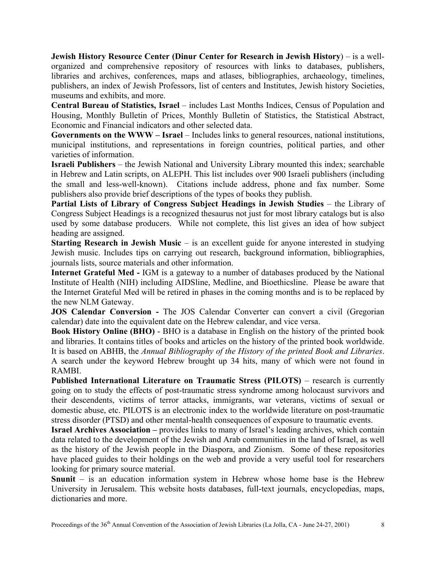**Jewish History Resource Center (Dinur Center for Research in Jewish History**) – is a wellorganized and comprehensive repository of resources with links to databases, publishers, libraries and archives, conferences, maps and atlases, bibliographies, archaeology, timelines, publishers, an index of Jewish Professors, list of centers and Institutes, Jewish history Societies, museums and exhibits, and more.

**Central Bureau of Statistics, Israel** – includes Last Months Indices, Census of Population and Housing, Monthly Bulletin of Prices, Monthly Bulletin of Statistics, the Statistical Abstract, Economic and Financial indicators and other selected data.

**Governments on the WWW – Israel** – Includes links to general resources, national institutions, municipal institutions, and representations in foreign countries, political parties, and other varieties of information.

**Israeli Publishers** – the Jewish National and University Library mounted this index; searchable in Hebrew and Latin scripts, on ALEPH. This list includes over 900 Israeli publishers (including the small and less-well-known). Citations include address, phone and fax number. Some publishers also provide brief descriptions of the types of books they publish.

**Partial Lists of Library of Congress Subject Headings in Jewish Studies** – the Library of Congress Subject Headings is a recognized thesaurus not just for most library catalogs but is also used by some database producers. While not complete, this list gives an idea of how subject heading are assigned.

**Starting Research in Jewish Music** – is an excellent guide for anyone interested in studying Jewish music. Includes tips on carrying out research, background information, bibliographies, journals lists, source materials and other information.

**Internet Grateful Med -** IGM is a gateway to a number of databases produced by the National Institute of Health (NIH) including AIDSline, Medline, and Bioethicsline. Please be aware that the Internet Grateful Med will be retired in phases in the coming months and is to be replaced by the new NLM Gateway.

**JOS Calendar Conversion -** The JOS Calendar Converter can convert a civil (Gregorian calendar) date into the equivalent date on the Hebrew calendar, and vice versa.

**Book History Online (BHO)** - BHO is a database in English on the history of the printed book and libraries. It contains titles of books and articles on the history of the printed book worldwide. It is based on ABHB, the *Annual Bibliography of the History of the printed Book and Libraries*. A search under the keyword Hebrew brought up 34 hits, many of which were not found in RAMBI.

**Published International Literature on Traumatic Stress (PILOTS)** – research is currently going on to study the effects of post-traumatic stress syndrome among holocaust survivors and their descendents, victims of terror attacks, immigrants, war veterans, victims of sexual or domestic abuse, etc. PILOTS is an electronic index to the worldwide literature on post-traumatic stress disorder (PTSD) and other mental-health consequences of exposure to traumatic events.

**Israel Archives Association** – provides links to many of Israel's leading archives, which contain data related to the development of the Jewish and Arab communities in the land of Israel, as well as the history of the Jewish people in the Diaspora, and Zionism. Some of these repositories have placed guides to their holdings on the web and provide a very useful tool for researchers looking for primary source material.

**Snunit** – is an education information system in Hebrew whose home base is the Hebrew University in Jerusalem. This website hosts databases, full-text journals, encyclopedias, maps, dictionaries and more.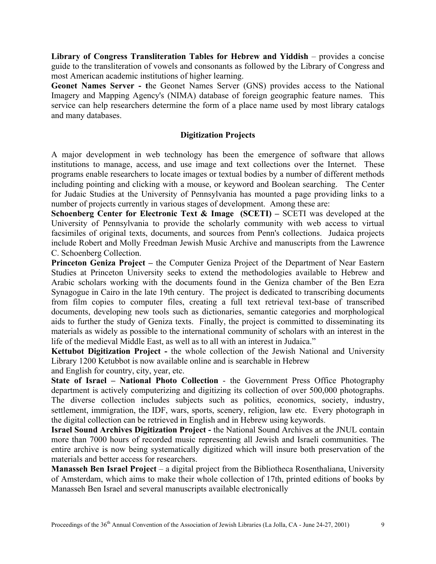**Library of Congress Transliteration Tables for Hebrew and Yiddish** – provides a concise guide to the transliteration of vowels and consonants as followed by the Library of Congress and most American academic institutions of higher learning.

**Geonet Names Server - t**he Geonet Names Server (GNS) provides access to the National Imagery and Mapping Agency's (NIMA) database of foreign geographic feature names. This service can help researchers determine the form of a place name used by most library catalogs and many databases.

# **Digitization Projects**

A major development in web technology has been the emergence of software that allows institutions to manage, access, and use image and text collections over the Internet. These programs enable researchers to locate images or textual bodies by a number of different methods including pointing and clicking with a mouse, or keyword and Boolean searching. The Center for Judaic Studies at the University of Pennsylvania has mounted a page providing links to a number of projects currently in various stages of development. Among these are:

**Schoenberg Center for Electronic Text & Image (SCETI) – SCETI was developed at the** University of Pennsylvania to provide the scholarly community with web access to virtual facsimiles of original texts, documents, and sources from Penn's collections. Judaica projects include Robert and Molly Freedman Jewish Music Archive and manuscripts from the Lawrence C. Schoenberg Collection.

**Princeton Geniza Project –** the Computer Geniza Project of the Department of Near Eastern Studies at Princeton University seeks to extend the methodologies available to Hebrew and Arabic scholars working with the documents found in the Geniza chamber of the Ben Ezra Synagogue in Cairo in the late 19th century. The project is dedicated to transcribing documents from film copies to computer files, creating a full text retrieval text-base of transcribed documents, developing new tools such as dictionaries, semantic categories and morphological aids to further the study of Geniza texts. Finally, the project is committed to disseminating its materials as widely as possible to the international community of scholars with an interest in the life of the medieval Middle East, as well as to all with an interest in Judaica."

**Kettubot Digitization Project -** the whole collection of the Jewish National and University Library 1200 Ketubbot is now available online and is searchable in Hebrew and English for country, city, year, etc.

**State of Israel – National Photo Collection** - the Government Press Office Photography department is actively computerizing and digitizing its collection of over 500,000 photographs. The diverse collection includes subjects such as politics, economics, society, industry, settlement, immigration, the IDF, wars, sports, scenery, religion, law etc. Every photograph in the digital collection can be retrieved in English and in Hebrew using keywords.

**Israel Sound Archives Digitization Project -** the National Sound Archives at the JNUL contain more than 7000 hours of recorded music representing all Jewish and Israeli communities. The entire archive is now being systematically digitized which will insure both preservation of the materials and better access for researchers.

**Manasseh Ben Israel Project** – a digital project from the Bibliotheca Rosenthaliana, University of Amsterdam, which aims to make their whole collection of 17th, printed editions of books by Manasseh Ben Israel and several manuscripts available electronically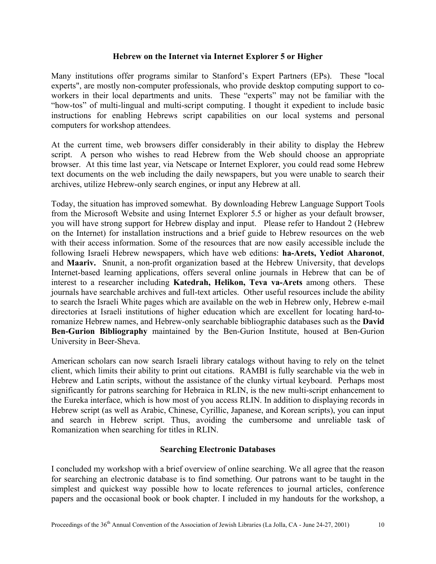## **Hebrew on the Internet via Internet Explorer 5 or Higher**

Many institutions offer programs similar to Stanford's Expert Partners (EPs). These "local experts", are mostly non-computer professionals, who provide desktop computing support to coworkers in their local departments and units. These "experts" may not be familiar with the "how-tos" of multi-lingual and multi-script computing. I thought it expedient to include basic instructions for enabling Hebrews script capabilities on our local systems and personal computers for workshop attendees.

At the current time, web browsers differ considerably in their ability to display the Hebrew script. A person who wishes to read Hebrew from the Web should choose an appropriate browser. At this time last year, via Netscape or Internet Explorer, you could read some Hebrew text documents on the web including the daily newspapers, but you were unable to search their archives, utilize Hebrew-only search engines, or input any Hebrew at all.

Today, the situation has improved somewhat. By downloading Hebrew Language Support Tools from the Microsoft Website and using Internet Explorer 5.5 or higher as your default browser, you will have strong support for Hebrew display and input. Please refer to Handout 2 (Hebrew on the Internet) for installation instructions and a brief guide to Hebrew resources on the web with their access information. Some of the resources that are now easily accessible include the following Israeli Hebrew newspapers, which have web editions: **ha-Arets, Yediot Aharonot**, and **Maariv.** Snunit, a non-profit organization based at the Hebrew University, that develops Internet-based learning applications, offers several online journals in Hebrew that can be of interest to a researcher including **Katedrah, Helikon, Teva va-Arets** among others. These journals have searchable archives and full-text articles. Other useful resources include the ability to search the Israeli White pages which are available on the web in Hebrew only, Hebrew e-mail directories at Israeli institutions of higher education which are excellent for locating hard-toromanize Hebrew names, and Hebrew-only searchable bibliographic databases such as the **David Ben-Gurion Bibliography** maintained by the Ben-Gurion Institute, housed at Ben-Gurion University in Beer-Sheva.

American scholars can now search Israeli library catalogs without having to rely on the telnet client, which limits their ability to print out citations. RAMBI is fully searchable via the web in Hebrew and Latin scripts, without the assistance of the clunky virtual keyboard. Perhaps most significantly for patrons searching for Hebraica in RLIN, is the new multi-script enhancement to the Eureka interface, which is how most of you access RLIN. In addition to displaying records in Hebrew script (as well as Arabic, Chinese, Cyrillic, Japanese, and Korean scripts), you can input and search in Hebrew script. Thus, avoiding the cumbersome and unreliable task of Romanization when searching for titles in RLIN.

## **Searching Electronic Databases**

I concluded my workshop with a brief overview of online searching. We all agree that the reason for searching an electronic database is to find something. Our patrons want to be taught in the simplest and quickest way possible how to locate references to journal articles, conference papers and the occasional book or book chapter. I included in my handouts for the workshop, a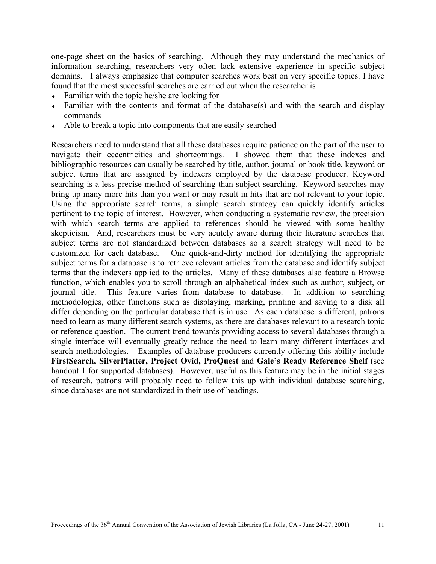one-page sheet on the basics of searching. Although they may understand the mechanics of information searching, researchers very often lack extensive experience in specific subject domains. I always emphasize that computer searches work best on very specific topics. I have found that the most successful searches are carried out when the researcher is

- $\bullet$  Familiar with the topic he/she are looking for
- ♦ Familiar with the contents and format of the database(s) and with the search and display commands
- ♦ Able to break a topic into components that are easily searched

Researchers need to understand that all these databases require patience on the part of the user to navigate their eccentricities and shortcomings. I showed them that these indexes and bibliographic resources can usually be searched by title, author, journal or book title, keyword or subject terms that are assigned by indexers employed by the database producer. Keyword searching is a less precise method of searching than subject searching. Keyword searches may bring up many more hits than you want or may result in hits that are not relevant to your topic. Using the appropriate search terms, a simple search strategy can quickly identify articles pertinent to the topic of interest. However, when conducting a systematic review, the precision with which search terms are applied to references should be viewed with some healthy skepticism. And, researchers must be very acutely aware during their literature searches that subject terms are not standardized between databases so a search strategy will need to be customized for each database. One quick-and-dirty method for identifying the appropriate subject terms for a database is to retrieve relevant articles from the database and identify subject terms that the indexers applied to the articles. Many of these databases also feature a Browse function, which enables you to scroll through an alphabetical index such as author, subject, or journal title. This feature varies from database to database. In addition to searching methodologies, other functions such as displaying, marking, printing and saving to a disk all differ depending on the particular database that is in use. As each database is different, patrons need to learn as many different search systems, as there are databases relevant to a research topic or reference question. The current trend towards providing access to several databases through a single interface will eventually greatly reduce the need to learn many different interfaces and search methodologies. Examples of database producers currently offering this ability include **FirstSearch, SilverPlatter, Project Ovid, ProQuest** and **Gale's Ready Reference Shelf** (see handout 1 for supported databases). However, useful as this feature may be in the initial stages of research, patrons will probably need to follow this up with individual database searching, since databases are not standardized in their use of headings.